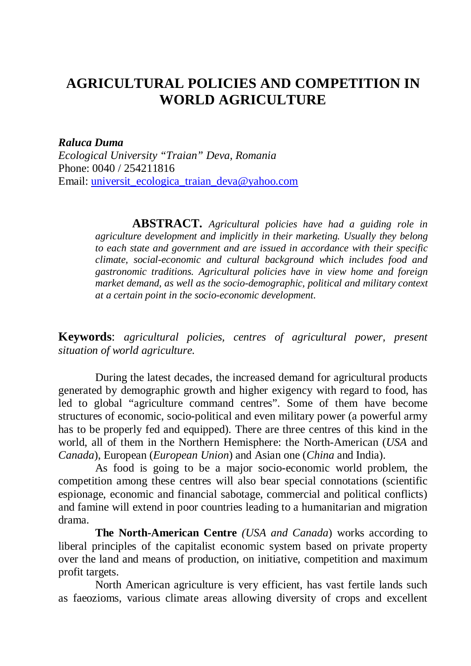## **AGRICULTURAL POLICIES AND COMPETITION IN WORLD AGRICULTURE**

*Raluca Duma*

*Ecological University "Traian" Deva, Romania* Phone: 0040 / 254211816 Email: universit\_ecologica\_traian\_deva@yahoo.com

> **ABSTRACT.** *Agricultural policies have had a guiding role in agriculture development and implicitly in their marketing. Usually they belong to each state and government and are issued in accordance with their specific climate, social-economic and cultural background which includes food and gastronomic traditions. Agricultural policies have in view home and foreign market demand, as well as the socio-demographic, political and military context at a certain point in the socio-economic development*.

**Keywords**: *agricultural policies, centres of agricultural power, present situation of world agriculture.*

During the latest decades, the increased demand for agricultural products generated by demographic growth and higher exigency with regard to food, has led to global "agriculture command centres". Some of them have become structures of economic, socio-political and even military power (a powerful army has to be properly fed and equipped). There are three centres of this kind in the world, all of them in the Northern Hemisphere: the North-American (*USA* and *Canada*), European (*European Union*) and Asian one (*China* and India).

As food is going to be a major socio-economic world problem, the competition among these centres will also bear special connotations (scientific espionage, economic and financial sabotage, commercial and political conflicts) and famine will extend in poor countries leading to a humanitarian and migration drama.

**The North-American Centre** *(USA and Canada*) works according to liberal principles of the capitalist economic system based on private property over the land and means of production, on initiative, competition and maximum profit targets.

North American agriculture is very efficient, has vast fertile lands such as faeozioms, various climate areas allowing diversity of crops and excellent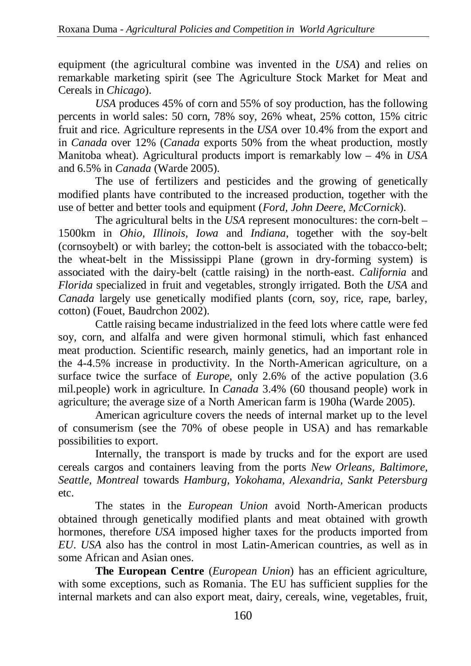equipment (the agricultural combine was invented in the *USA*) and relies on remarkable marketing spirit (see The Agriculture Stock Market for Meat and Cereals in *Chicago*).

*USA* produces 45% of corn and 55% of soy production, has the following percents in world sales: 50 corn, 78% soy, 26% wheat, 25% cotton, 15% citric fruit and rice. Agriculture represents in the *USA* over 10.4% from the export and in *Canada* over 12% (*Canada* exports 50% from the wheat production, mostly Manitoba wheat). Agricultural products import is remarkably low – 4% in *USA* and 6.5% in *Canada* (Warde 2005).

The use of fertilizers and pesticides and the growing of genetically modified plants have contributed to the increased production, together with the use of better and better tools and equipment (*Ford, John Deere, McCornick*).

The agricultural belts in the *USA* represent monocultures: the corn-belt – 1500km in *Ohio, Illinois, Iowa* and *Indiana*, together with the soy-belt (cornsoybelt) or with barley; the cotton-belt is associated with the tobacco-belt; the wheat-belt in the Mississippi Plane (grown in dry-forming system) is associated with the dairy-belt (cattle raising) in the north-east. *California* and *Florida* specialized in fruit and vegetables, strongly irrigated. Both the *USA* and *Canada* largely use genetically modified plants (corn, soy, rice, rape, barley, cotton) (Fouet, Baudrchon 2002).

Cattle raising became industrialized in the feed lots where cattle were fed soy, corn, and alfalfa and were given hormonal stimuli, which fast enhanced meat production. Scientific research, mainly genetics, had an important role in the 4-4.5% increase in productivity. In the North-American agriculture, on a surface twice the surface of *Europe*, only 2.6% of the active population (3.6 mil.people) work in agriculture. In *Canada* 3.4% (60 thousand people) work in agriculture; the average size of a North American farm is 190ha (Warde 2005).

American agriculture covers the needs of internal market up to the level of consumerism (see the 70% of obese people in USA) and has remarkable possibilities to export.

Internally, the transport is made by trucks and for the export are used cereals cargos and containers leaving from the ports *New Orleans, Baltimore, Seattle, Montreal* towards *Hamburg, Yokohama, Alexandria, Sankt Petersburg* etc.

The states in the *European Union* avoid North-American products obtained through genetically modified plants and meat obtained with growth hormones, therefore *USA* imposed higher taxes for the products imported from *EU*. *USA* also has the control in most Latin-American countries, as well as in some African and Asian ones.

**The European Centre** (*European Union*) has an efficient agriculture, with some exceptions, such as Romania. The EU has sufficient supplies for the internal markets and can also export meat, dairy, cereals, wine, vegetables, fruit,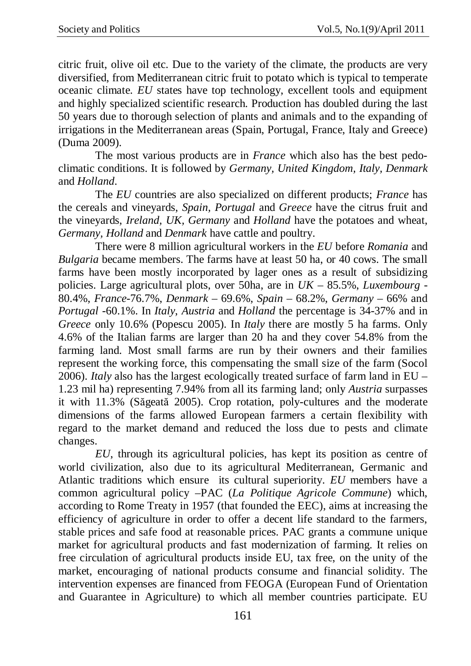citric fruit, olive oil etc. Due to the variety of the climate, the products are very diversified, from Mediterranean citric fruit to potato which is typical to temperate oceanic climate. *EU* states have top technology, excellent tools and equipment and highly specialized scientific research. Production has doubled during the last 50 years due to thorough selection of plants and animals and to the expanding of irrigations in the Mediterranean areas (Spain, Portugal, France, Italy and Greece) (Duma 2009).

The most various products are in *France* which also has the best pedoclimatic conditions. It is followed by *Germany, United Kingdom, Italy, Denmark* and *Holland*.

The *EU* countries are also specialized on different products; *France* has the cereals and vineyards, *Spain, Portugal* and *Greece* have the citrus fruit and the vineyards, *Ireland, UK, Germany* and *Holland* have the potatoes and wheat, *Germany, Holland* and *Denmark* have cattle and poultry.

There were 8 million agricultural workers in the *EU* before *Romania* and *Bulgaria* became members. The farms have at least 50 ha, or 40 cows. The small farms have been mostly incorporated by lager ones as a result of subsidizing policies. Large agricultural plots, over 50ha, are in *UK* – 85.5%, *Luxembourg* - 80.4%, *France*-76.7%, *Denmark* – 69.6%, *Spain* – 68.2%, *Germany* – 66% and *Portugal* -60.1%. In *Italy*, *Austria* and *Holland* the percentage is 34-37% and in *Greece* only 10.6% (Popescu 2005). In *Italy* there are mostly 5 ha farms. Only 4.6% of the Italian farms are larger than 20 ha and they cover 54.8% from the farming land. Most small farms are run by their owners and their families represent the working force, this compensating the small size of the farm (Socol 2006). *Italy* also has the largest ecologically treated surface of farm land in EU – 1.23 mil ha) representing 7.94% from all its farming land; only *Austria* surpasses it with 11.3% (Săgeată 2005). Crop rotation, poly-cultures and the moderate dimensions of the farms allowed European farmers a certain flexibility with regard to the market demand and reduced the loss due to pests and climate changes.

*EU*, through its agricultural policies, has kept its position as centre of world civilization, also due to its agricultural Mediterranean, Germanic and Atlantic traditions which ensure its cultural superiority. *EU* members have a common agricultural policy –PAC (*La Politique Agricole Commune*) which, according to Rome Treaty in 1957 (that founded the EEC), aims at increasing the efficiency of agriculture in order to offer a decent life standard to the farmers, stable prices and safe food at reasonable prices. PAC grants a commune unique market for agricultural products and fast modernization of farming. It relies on free circulation of agricultural products inside EU, tax free, on the unity of the market, encouraging of national products consume and financial solidity. The intervention expenses are financed from FEOGA (European Fund of Orientation and Guarantee in Agriculture) to which all member countries participate. EU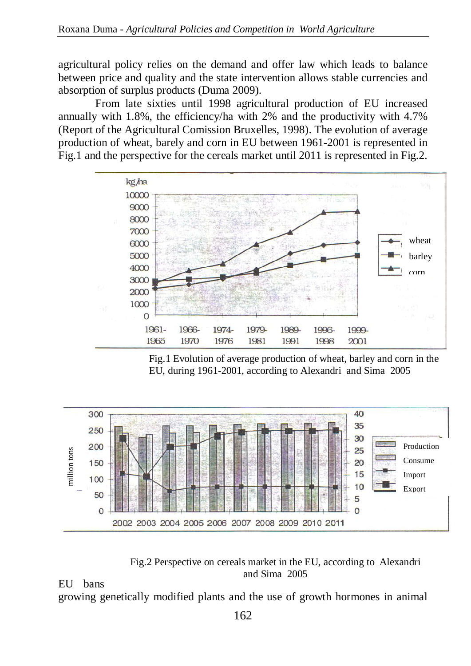agricultural policy relies on the demand and offer law which leads to balance between price and quality and the state intervention allows stable currencies and absorption of surplus products (Duma 2009).

From late sixties until 1998 agricultural production of EU increased annually with 1.8%, the efficiency/ha with 2% and the productivity with 4.7% (Report of the Agricultural Comission Bruxelles, 1998). The evolution of average production of wheat, barely and corn in EU between 1961-2001 is represented in Fig.1 and the perspective for the cereals market until 2011 is represented in Fig.2.



Fig.1 Evolution of average production of wheat, barley and corn in the EU, during 1961-2001, according to Alexandri and Sima 2005



Fig.2 Perspective on cereals market in the EU, according to Alexandri and Sima 2005

EU bans

growing genetically modified plants and the use of growth hormones in animal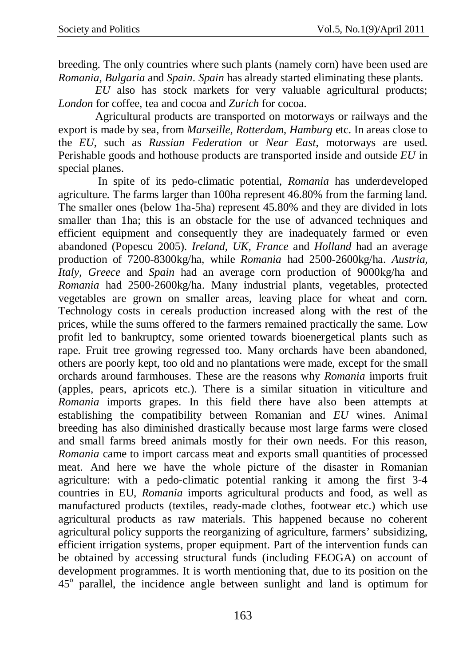breeding. The only countries where such plants (namely corn) have been used are *Romania, Bulgaria* and *Spain*. *Spain* has already started eliminating these plants.

*EU* also has stock markets for very valuable agricultural products; *London* for coffee, tea and cocoa and *Zurich* for cocoa.

Agricultural products are transported on motorways or railways and the export is made by sea, from *Marseille, Rotterdam, Hamburg* etc. In areas close to the *EU*, such as *Russian Federation* or *Near East*, motorways are used. Perishable goods and hothouse products are transported inside and outside *EU* in special planes.

In spite of its pedo-climatic potential, *Romania* has underdeveloped agriculture. The farms larger than 100ha represent 46.80% from the farming land. The smaller ones (below 1ha-5ha) represent 45.80% and they are divided in lots smaller than 1 ha; this is an obstacle for the use of advanced techniques and efficient equipment and consequently they are inadequately farmed or even abandoned (Popescu 2005). *Ireland, UK, France* and *Holland* had an average production of 7200-8300kg/ha, while *Romania* had 2500-2600kg/ha. *Austria, Italy, Greece* and *Spain* had an average corn production of 9000kg/ha and *Romania* had 2500-2600kg/ha. Many industrial plants, vegetables, protected vegetables are grown on smaller areas, leaving place for wheat and corn. Technology costs in cereals production increased along with the rest of the prices, while the sums offered to the farmers remained practically the same. Low profit led to bankruptcy, some oriented towards bioenergetical plants such as rape. Fruit tree growing regressed too. Many orchards have been abandoned, others are poorly kept, too old and no plantations were made, except for the small orchards around farmhouses. These are the reasons why *Romania* imports fruit (apples, pears, apricots etc.). There is a similar situation in viticulture and *Romania* imports grapes. In this field there have also been attempts at establishing the compatibility between Romanian and *EU* wines. Animal breeding has also diminished drastically because most large farms were closed and small farms breed animals mostly for their own needs. For this reason, *Romania* came to import carcass meat and exports small quantities of processed meat. And here we have the whole picture of the disaster in Romanian agriculture: with a pedo-climatic potential ranking it among the first 3-4 countries in EU, *Romania* imports agricultural products and food, as well as manufactured products (textiles, ready-made clothes, footwear etc.) which use agricultural products as raw materials. This happened because no coherent agricultural policy supports the reorganizing of agriculture, farmers' subsidizing, efficient irrigation systems, proper equipment. Part of the intervention funds can be obtained by accessing structural funds (including FEOGA) on account of development programmes. It is worth mentioning that, due to its position on the 45° parallel, the incidence angle between sunlight and land is optimum for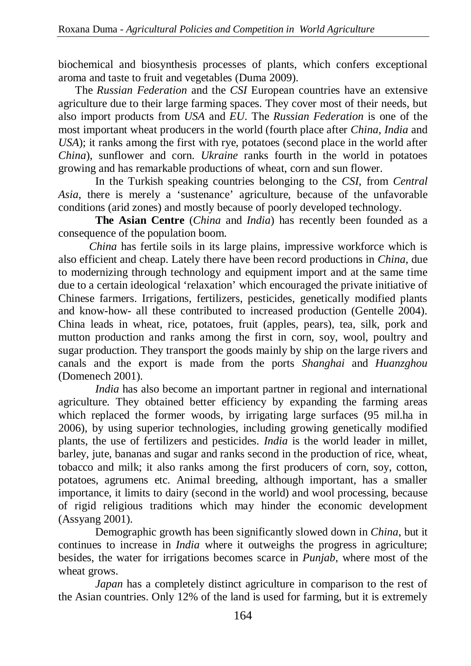biochemical and biosynthesis processes of plants, which confers exceptional aroma and taste to fruit and vegetables (Duma 2009).

 The *Russian Federation* and the *CSI* European countries have an extensive agriculture due to their large farming spaces. They cover most of their needs, but also import products from *USA* and *EU*. The *Russian Federation* is one of the most important wheat producers in the world (fourth place after *China, India* and *USA*); it ranks among the first with rye, potatoes (second place in the world after *China*), sunflower and corn. *Ukraine* ranks fourth in the world in potatoes growing and has remarkable productions of wheat, corn and sun flower.

In the Turkish speaking countries belonging to the *CSI*, from *Central Asia*, there is merely a 'sustenance' agriculture, because of the unfavorable conditions (arid zones) and mostly because of poorly developed technology.

**The Asian Centre** (*China* and *India*) has recently been founded as a consequence of the population boom.

 *China* has fertile soils in its large plains, impressive workforce which is also efficient and cheap. Lately there have been record productions in *China*, due to modernizing through technology and equipment import and at the same time due to a certain ideological 'relaxation' which encouraged the private initiative of Chinese farmers. Irrigations, fertilizers, pesticides, genetically modified plants and know-how- all these contributed to increased production (Gentelle 2004). China leads in wheat, rice, potatoes, fruit (apples, pears), tea, silk, pork and mutton production and ranks among the first in corn, soy, wool, poultry and sugar production. They transport the goods mainly by ship on the large rivers and canals and the export is made from the ports *Shanghai* and *Huanzghou* (Domenech 2001).

*India* has also become an important partner in regional and international agriculture. They obtained better efficiency by expanding the farming areas which replaced the former woods, by irrigating large surfaces (95 mil.ha in 2006), by using superior technologies, including growing genetically modified plants, the use of fertilizers and pesticides. *India* is the world leader in millet, barley, jute, bananas and sugar and ranks second in the production of rice, wheat, tobacco and milk; it also ranks among the first producers of corn, soy, cotton, potatoes, agrumens etc. Animal breeding, although important, has a smaller importance, it limits to dairy (second in the world) and wool processing, because of rigid religious traditions which may hinder the economic development (Assyang 2001).

Demographic growth has been significantly slowed down in *China*, but it continues to increase in *India* where it outweighs the progress in agriculture; besides, the water for irrigations becomes scarce in *Punjab*, where most of the wheat grows.

*Japan* has a completely distinct agriculture in comparison to the rest of the Asian countries. Only 12% of the land is used for farming, but it is extremely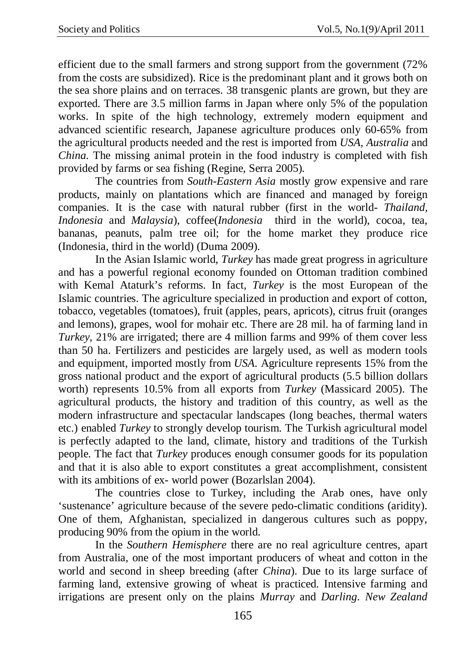efficient due to the small farmers and strong support from the government (72% from the costs are subsidized). Rice is the predominant plant and it grows both on the sea shore plains and on terraces. 38 transgenic plants are grown, but they are exported. There are 3.5 million farms in Japan where only 5% of the population works. In spite of the high technology, extremely modern equipment and advanced scientific research, Japanese agriculture produces only 60-65% from the agricultural products needed and the rest is imported from *USA, Australia* and *China*. The missing animal protein in the food industry is completed with fish provided by farms or sea fishing (Regine, Serra 2005).

The countries from *South-Eastern Asia* mostly grow expensive and rare products, mainly on plantations which are financed and managed by foreign companies. It is the case with natural rubber (first in the world- *Thailand, Indonesia* and *Malaysia*), coffee(*Indonesia* third in the world), cocoa, tea, bananas, peanuts, palm tree oil; for the home market they produce rice (Indonesia, third in the world) (Duma 2009).

In the Asian Islamic world, *Turkey* has made great progress in agriculture and has a powerful regional economy founded on Ottoman tradition combined with Kemal Ataturk's reforms. In fact, *Turkey* is the most European of the Islamic countries. The agriculture specialized in production and export of cotton, tobacco, vegetables (tomatoes), fruit (apples, pears, apricots), citrus fruit (oranges and lemons), grapes, wool for mohair etc. There are 28 mil. ha of farming land in *Turkey*, 21% are irrigated; there are 4 million farms and 99% of them cover less than 50 ha. Fertilizers and pesticides are largely used, as well as modern tools and equipment, imported mostly from *USA*. Agriculture represents 15% from the gross national product and the export of agricultural products (5.5 billion dollars worth) represents 10.5% from all exports from *Turkey* (Massicard 2005). The agricultural products, the history and tradition of this country, as well as the modern infrastructure and spectacular landscapes (long beaches, thermal waters etc.) enabled *Turkey* to strongly develop tourism. The Turkish agricultural model is perfectly adapted to the land, climate, history and traditions of the Turkish people. The fact that *Turkey* produces enough consumer goods for its population and that it is also able to export constitutes a great accomplishment, consistent with its ambitions of ex- world power (Bozarlslan 2004).

The countries close to Turkey, including the Arab ones, have only 'sustenance' agriculture because of the severe pedo-climatic conditions (aridity). One of them, Afghanistan, specialized in dangerous cultures such as poppy, producing 90% from the opium in the world.

In the *Southern Hemisphere* there are no real agriculture centres, apart from Australia, one of the most important producers of wheat and cotton in the world and second in sheep breeding (after *China*). Due to its large surface of farming land, extensive growing of wheat is practiced. Intensive farming and irrigations are present only on the plains *Murray* and *Darling*. *New Zealand*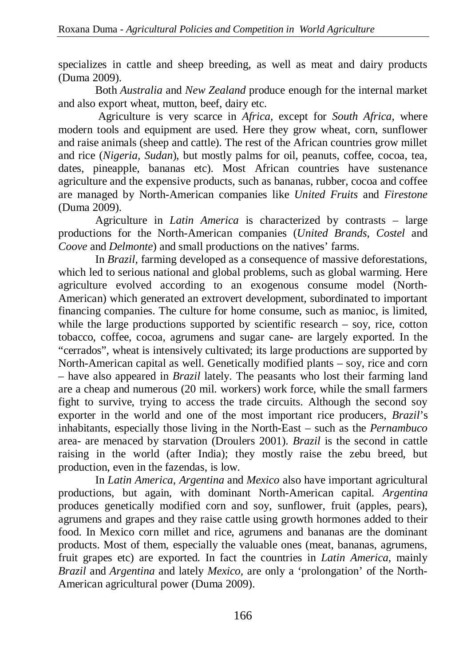specializes in cattle and sheep breeding, as well as meat and dairy products (Duma 2009).

Both *Australia* and *New Zealand* produce enough for the internal market and also export wheat, mutton, beef, dairy etc.

Agriculture is very scarce in *Africa*, except for *South Africa*, where modern tools and equipment are used. Here they grow wheat, corn, sunflower and raise animals (sheep and cattle). The rest of the African countries grow millet and rice (*Nigeria*, *Sudan*), but mostly palms for oil, peanuts, coffee, cocoa, tea, dates, pineapple, bananas etc). Most African countries have sustenance agriculture and the expensive products, such as bananas, rubber, cocoa and coffee are managed by North-American companies like *United Fruits* and *Firestone* (Duma 2009).

Agriculture in *Latin America* is characterized by contrasts – large productions for the North-American companies (*United Brands*, *Costel* and *Coove* and *Delmonte*) and small productions on the natives' farms.

In *Brazil*, farming developed as a consequence of massive deforestations, which led to serious national and global problems, such as global warming. Here agriculture evolved according to an exogenous consume model (North-American) which generated an extrovert development, subordinated to important financing companies. The culture for home consume, such as manioc, is limited, while the large productions supported by scientific research – soy, rice, cotton tobacco, coffee, cocoa, agrumens and sugar cane- are largely exported. In the "cerrados", wheat is intensively cultivated; its large productions are supported by North-American capital as well. Genetically modified plants – soy, rice and corn – have also appeared in *Brazil* lately. The peasants who lost their farming land are a cheap and numerous (20 mil. workers) work force, while the small farmers fight to survive, trying to access the trade circuits. Although the second soy exporter in the world and one of the most important rice producers, *Brazil*'s inhabitants, especially those living in the North-East – such as the *Pernambuco* area- are menaced by starvation (Droulers 2001). *Brazil* is the second in cattle raising in the world (after India); they mostly raise the zebu breed, but production, even in the fazendas, is low.

In *Latin America*, *Argentina* and *Mexico* also have important agricultural productions, but again, with dominant North-American capital. *Argentina* produces genetically modified corn and soy, sunflower, fruit (apples, pears), agrumens and grapes and they raise cattle using growth hormones added to their food. In Mexico corn millet and rice, agrumens and bananas are the dominant products. Most of them, especially the valuable ones (meat, bananas, agrumens, fruit grapes etc) are exported. In fact the countries in *Latin America*, mainly *Brazil* and *Argentina* and lately *Mexico,* are only a 'prolongation' of the North-American agricultural power (Duma 2009).